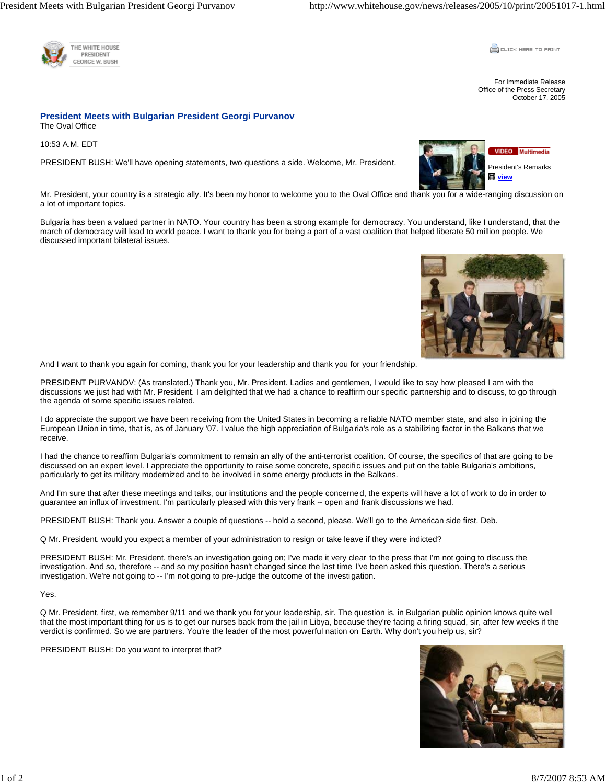

**CLICK HERE TO PRINT** 

For Immediate Release Office of the Press Secretary October 17, 2005

## **President Meets with Bulgarian President Georgi Purvanov**  The Oval Office

10:53 A.M. EDT

PRESIDENT BUSH: We'll have opening statements, two questions a side. Welcome, Mr. President.



Mr. President, your country is a strategic ally. It's been my honor to welcome you to the Oval Office and thank you for a wide-ranging discussion on a lot of important topics.

Bulgaria has been a valued partner in NATO. Your country has been a strong example for democracy. You understand, like I understand, that the march of democracy will lead to world peace. I want to thank you for being a part of a vast coalition that helped liberate 50 million people. We discussed important bilateral issues.



And I want to thank you again for coming, thank you for your leadership and thank you for your friendship.

PRESIDENT PURVANOV: (As translated.) Thank you, Mr. President. Ladies and gentlemen, I would like to say how pleased I am with the discussions we just had with Mr. President. I am delighted that we had a chance to reaffirm our specific partnership and to discuss, to go through the agenda of some specific issues related.

I do appreciate the support we have been receiving from the United States in becoming a reliable NATO member state, and also in joining the European Union in time, that is, as of January '07. I value the high appreciation of Bulgaria's role as a stabilizing factor in the Balkans that we receive.

I had the chance to reaffirm Bulgaria's commitment to remain an ally of the anti-terrorist coalition. Of course, the specifics of that are going to be discussed on an expert level. I appreciate the opportunity to raise some concrete, specific issues and put on the table Bulgaria's ambitions, particularly to get its military modernized and to be involved in some energy products in the Balkans.

And I'm sure that after these meetings and talks, our institutions and the people concerned, the experts will have a lot of work to do in order to guarantee an influx of investment. I'm particularly pleased with this very frank -- open and frank discussions we had.

PRESIDENT BUSH: Thank you. Answer a couple of questions -- hold a second, please. We'll go to the American side first. Deb.

Q Mr. President, would you expect a member of your administration to resign or take leave if they were indicted?

PRESIDENT BUSH: Mr. President, there's an investigation going on; I've made it very clear to the press that I'm not going to discuss the investigation. And so, therefore -- and so my position hasn't changed since the last time I've been asked this question. There's a serious investigation. We're not going to -- I'm not going to pre-judge the outcome of the investigation.

## Yes.

Q Mr. President, first, we remember 9/11 and we thank you for your leadership, sir. The question is, in Bulgarian public opinion knows quite well that the most important thing for us is to get our nurses back from the jail in Libya, because they're facing a firing squad, sir, after few weeks if the verdict is confirmed. So we are partners. You're the leader of the most powerful nation on Earth. Why don't you help us, sir?

PRESIDENT BUSH: Do you want to interpret that?